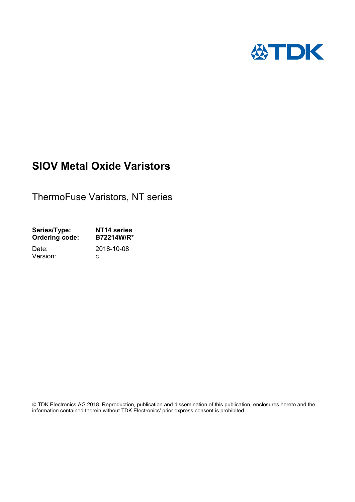

# **SIOV Metal Oxide Varistors**

ThermoFuse Varistors, NT series

| Series/Type:          | NT14 series |
|-----------------------|-------------|
| <b>Ordering code:</b> | B72214W/R*  |
| Date:                 | 2018-10-08  |
| Version:              | C.          |
|                       |             |

 TDK Electronics AG 2018. Reproduction, publication and dissemination of this publication, enclosures hereto and the information contained therein without TDK Electronics' prior express consent is prohibited.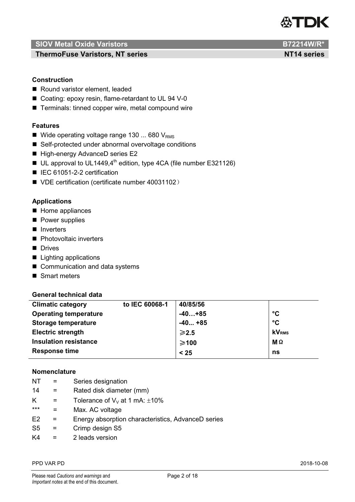

**ThermoFuse Varistors, NT series NT14 series NT14 series** 

## **Construction**

- Round varistor element, leaded
- Coating: epoxy resin, flame-retardant to UL 94 V-0
- Terminals: tinned copper wire, metal compound wire

### **Features**

- Wide operating voltage range 130 ... 680  $V_{RMS}$
- Self-protected under abnormal overvoltage conditions
- High-energy AdvanceD series E2
- $\blacksquare$  UL approval to UL1449,4<sup>th</sup> edition, type 4CA (file number E321126)
- IEC 61051-2-2 certification
- VDE certification (certificate number 40031102)

### **Applications**

- Home appliances
- **Power supplies**
- **I** Inverters
- **Photovoltaic inverters**
- Drives
- Lighting applications
- Communication and data systems
- Smart meters

#### **General technical data**

| <b>Climatic category</b>     | to IEC 60068-1 | 40/85/56        |                 |
|------------------------------|----------------|-----------------|-----------------|
| <b>Operating temperature</b> |                | $-40+85$        | $\rm ^{\circ}C$ |
| <b>Storage temperature</b>   |                | $-40+85$        | $\rm ^{\circ}C$ |
| <b>Electric strength</b>     |                | $\geqslant$ 2.5 | <b>KVRMS</b>    |
| <b>Insulation resistance</b> |                | $≥100$          | MΩ              |
| <b>Response time</b>         |                | < 25            | ns              |

#### **Nomenclature**

- NT = Series designation
- 14 = Rated disk diameter (mm)
- K = Tolerance of  $V_V$  at 1 mA:  $\pm 10\%$
- \*\*\* = Max. AC voltage
- E2 = Energy absorption characteristics, AdvanceD series
- S5 = Crimp design S5
- $K4 = 2$  leads version

#### PPD VAR PD 2018-10-08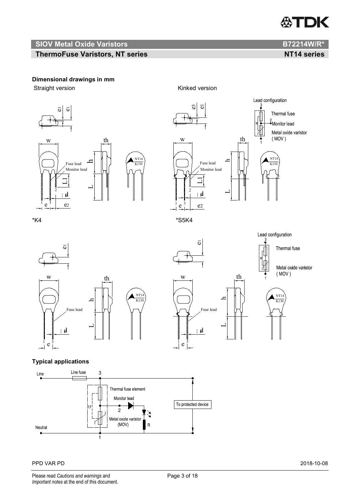# **ASTDK**

# **SIOV Metal Oxide Varistors B72214W/R\***

# **ThermoFuse Varistors, NT series NT14 series NT14 series**

# **Dimensional drawings in mm**

Straight version **Kinked version** 







Lead configuration

 $\overline{0}$ wth NT14 hK130 Fuse lead  $\mathord{\hspace{1pt}\text{--}\hspace{1pt}}$  $\mathbf d$  $\frac{1}{1}$  e  $\frac{3}{1}$  $\overline{\phantom{0}}$ 



 $\overline{6}$ 





# **Typical applications**



#### PPD VAR PD 2018-10-08

Please read *Cautions and warnings* and **Page 3 of 18** Page 3 of 18 *Important notes* at the end of this document.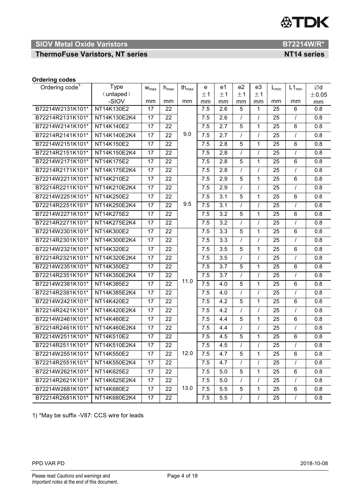# **SIOV Metal Oxide Varistors B72214W/R\***

**ThermoFuse Varistors, NT series NT14 series NT14 series** 

#### **Ordering codes**

| Ordering code <sup>17</sup> | <b>Type</b>  | $W_{max}$       | $h_{\text{max}}$ | $th_{\text{max}}$ | е   | e1               | e <sub>2</sub> | e3           | $L_{\text{min}}$ | $L1_{min}$     | Ød               |
|-----------------------------|--------------|-----------------|------------------|-------------------|-----|------------------|----------------|--------------|------------------|----------------|------------------|
|                             | (untaped)    |                 |                  |                   | ±1  | ±1               | ±1             | ±1           |                  |                | ±0.05            |
|                             | -SIOV        | mm              | mm               | mm                | mm  | mm               | mm             | mm           | mm               | mm             | mm               |
| B72214W2131K101*            | NT14K130E2   | 17              | 22               |                   | 7.5 | 2.6              | 5              | 1            | 25               | 6              | 0.8              |
| B72214R2131K101*            | NT14K130E2K4 | 17              | 22               |                   | 7.5 | 2.6              | $\prime$       | $\prime$     | 25               | $\prime$       | 0.8              |
| B72214W2141K101*            | NT14K140E2   | 17              | 22               |                   | 7.5 | 2.7              | 5              | 1            | 25               | $\,6$          | 0.8              |
| B72214R2141K101*            | NT14K140E2K4 | 17              | 22               | 9.0               | 7.5 | 2.7              | $\prime$       | $\prime$     | 25               | $\prime$       | 0.8              |
| B72214W2151K101*            | NT14K150E2   | 17              | 22               |                   | 7.5 | 2.8              | 5              | 1            | 25               | $\,6$          | 0.8              |
| B72214R2151K101*            | NT14K150E2K4 | 17              | 22               |                   | 7.5 | 2.8              | $\prime$       | $\prime$     | 25               | $\prime$       | 0.8              |
| B72214W2171K101*            | NT14K175E2   | 17              | 22               |                   | 7.5 | $\overline{2.8}$ | 5              | 1            | 25               | 6              | 0.8              |
| B72214R2171K101*            | NT14K175E2K4 | 17              | 22               |                   | 7.5 | 2.8              | $\prime$       | $\prime$     | 25               | $\prime$       | 0.8              |
| B72214W2211K101*            | NT14K210E2   | 17              | 22               |                   | 7.5 | 2.9              | 5              | 1            | 25               | 6              | 0.8              |
| B72214R2211K101*            | NT14K210E2K4 | 17              | 22               |                   | 7.5 | 2.9              | $\prime$       | $\prime$     | 25               | $\prime$       | 0.8              |
| B72214W2251K101*            | NT14K250E2   | 17              | 22               |                   | 7.5 | 3.1              | 5              | 1            | 25               | 6              | 0.8              |
| B72214R2251K101*            | NT14K250E2K4 | 17              | 22               | 9.5               | 7.5 | 3.1              | $\prime$       | $\prime$     | 25               | $\prime$       | 0.8              |
| B72214W2271K101*            | NT14K275E2   | 17              | 22               |                   | 7.5 | $\overline{3.2}$ | $\overline{5}$ | 1            | 25               | $\,6$          | $\overline{0.8}$ |
| B72214R2271K101*            | NT14K275E2K4 | 17              | 22               |                   | 7.5 | 3.2              | $\prime$       | $\prime$     | 25               | $\prime$       | 0.8              |
| B72214W2301K101*            | NT14K300E2   | 17              | 22               |                   | 7.5 | 3.3              | 5              | 1            | 25               | 6              | 0.8              |
| B72214R2301K101*            | NT14K300E2K4 | 17              | 22               |                   | 7.5 | 3.3              | $\prime$       | $\prime$     | 25               | $\prime$       | 0.8              |
| B72214W2321K101*            | NT14K320E2   | 17              | 22               |                   | 7.5 | 3.5              | 5              | 1            | 25               | $\,6$          | 0.8              |
| B72214R2321K101*            | NT14K320E2K4 | 17              | 22               |                   | 7.5 | 3.5              | $\prime$       | $\prime$     | 25               | $\overline{I}$ | 0.8              |
| B72214W2351K101*            | NT14K350E2   | 17              | 22               |                   | 7.5 | 3.7              | 5              | 1            | 25               | 6              | 0.8              |
| B72214R2351K101*            | NT14K350E2K4 | $\overline{17}$ | 22               |                   | 7.5 | 3.7              | $\prime$       | $\prime$     | 25               | $\prime$       | $\overline{0.8}$ |
| B72214W2381K101*            | NT14K385E2   | 17              | 22               | 11.0              | 7.5 | 4.0              | 5              | 1            | 25               | 6              | 0.8              |
| B72214R2381K101*            | NT14K385E2K4 | 17              | 22               |                   | 7.5 | 4.0              | $\prime$       | $\prime$     | 25               | $\sqrt{ }$     | 0.8              |
| B72214W2421K101*            | NT14K420E2   | 17              | 22               |                   | 7.5 | 4.2              | 5              | 1            | 25               | 6              | 0.8              |
| B72214R2421K101*            | NT14K420E2K4 | 17              | 22               |                   | 7.5 | 4.2              | $\prime$       | $\prime$     | 25               | $\prime$       | 0.8              |
| B72214W2461K101*            | NT14K460E2   | 17              | 22               |                   | 7.5 | 4.4              | 5              | 1            | 25               | $\,6$          | 0.8              |
| B72214R2461K101*            | NT14K460E2K4 | 17              | 22               |                   | 7.5 | 4.4              | $\prime$       | $\prime$     | 25               | $\prime$       | 0.8              |
| B72214W2511K101*            | NT14K510E2   | 17              | 22               |                   | 7.5 | 4.5              | $\overline{5}$ | 1            | 25               | $\,6$          | $\overline{0.8}$ |
| B72214R2511K101*            | NT14K510E2K4 | 17              | 22               |                   | 7.5 | 4.5              | $\prime$       |              | 25               | $\prime$       | 0.8              |
| B72214W2551K101*            | NT14K550E2   | 17              | 22               | 12.0              | 7.5 | 4.7              | 5              | 1            | 25               | 6              | 0.8              |
| B72214R2551K101*            | NT14K550E2K4 | 17              | 22               |                   | 7.5 | 4.7              |                |              | 25               |                | 0.8              |
| B72214W2621K101*            | NT14K625E2   | 17              | 22               |                   | 7.5 | 5.0              | 5              | $\mathbf{1}$ | 25               | 6              | 0.8              |
| B72214R2621K101*            | NT14K625E2K4 | 17              | 22               |                   | 7.5 | 5.0              | $\prime$       | $\prime$     | 25               | $\prime$       | 0.8              |
| B72214W2681K101*            | NT14K680E2   | 17              | 22               | 13.0              | 7.5 | 5.5              | 5              | 1            | 25               | 6              | 0.8              |
| B72214R2681K101*            | NT14K680E2K4 | 17              | 22               |                   | 7.5 | 5.5              | $\sqrt{2}$     | $\prime$     | 25               | $\prime$       | 0.8              |

1) \*May be suffix -V87: CCS wire for leads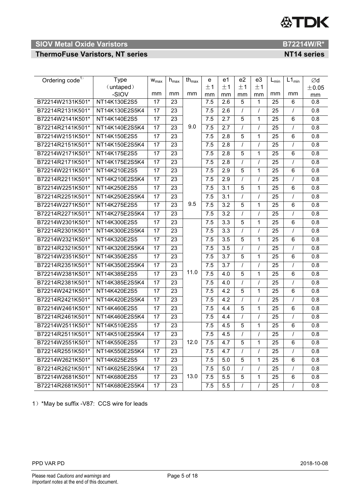

# **ThermoFuse Varistors, NT series NT14 series NT14 series**

| Ordering code <sup>1)</sup> | Type               | $W_{max}$       | $h_{\text{max}}$ | th $_{\text{max}}$ | е        | e1               | e <sub>2</sub> | e3       | $L_{min}$ | $L1_{min}$ | Ød               |
|-----------------------------|--------------------|-----------------|------------------|--------------------|----------|------------------|----------------|----------|-----------|------------|------------------|
|                             | (untaped)<br>-SIOV | mm              | mm               | mm                 | ±1<br>mm | ±1<br>mm         | ±1<br>mm       | ±1<br>mm | mm        | mm         | ±0.05            |
| B72214W2131K501*            | NT14K130E2S5       | 17              | 23               |                    | 7.5      | 2.6              | 5              | 1        | 25        | 6          | mm<br>0.8        |
| B72214R2131K501*            | NT14K130E2S5K4     | 17              | 23               |                    | 7.5      | 2.6              |                | $\prime$ | 25        | $\prime$   | 0.8              |
| B72214W2141K501*            | NT14K140E2S5       | 17              | 23               |                    | 7.5      | 2.7              | 5              | 1        | 25        | 6          | 0.8              |
| B72214R2141K501*            | NT14K140E2S5K4     | 17              | 23               | 9.0                | 7.5      | 2.7              |                |          | 25        |            | 0.8              |
| B72214W2151K501*            | NT14K150E2S5       | $\overline{17}$ | 23               |                    | 7.5      | 2.8              | 5              | 1        | 25        | 6          | 0.8              |
| B72214R2151K501*            | NT14K150E2S5K4     | 17              | 23               |                    | 7.5      | 2.8              |                | $\prime$ | 25        | $\prime$   | 0.8              |
| B72214W2171K501*            | NT14K175E2S5       | 17              | 23               |                    | 7.5      | 2.8              | 5              | 1        | 25        | 6          | 0.8              |
| B72214R2171K501*            | NT14K175E2S5K4     | 17              | 23               |                    | 7.5      | 2.8              |                | $\prime$ | 25        |            | 0.8              |
| B72214W2211K501*            | NT14K210E2S5       | 17              | 23               |                    | 7.5      | 2.9              | 5              | 1        | 25        | 6          | 0.8              |
| B72214R2211K501*            | NT14K210E2S5K4     | $\overline{17}$ | 23               |                    | 7.5      | 2.9              | $\prime$       | $\prime$ | 25        | $\prime$   | 0.8              |
| B72214W2251K501*            | NT14K250E2S5       | 17              | 23               |                    | 7.5      | 3.1              | 5              | 1        | 25        | 6          | 0.8              |
| B72214R2251K501*            | NT14K250E2S5K4     | 17              | 23               |                    | 7.5      | 3.1              |                | $\prime$ | 25        |            | 0.8              |
| B72214W2271K501*            | NT14K275E2S5       | $\overline{17}$ | $\overline{23}$  | 9.5                | 7.5      | 3.2              | 5              | 1        | 25        | 6          | 0.8              |
| B72214R2271K501*            | NT14K275E2S5K4     | 17              | 23               |                    | 7.5      | 3.2              | $\prime$       | $\prime$ | 25        | $\prime$   | 0.8              |
| B72214W2301K501*            | NT14K300E2S5       | $\overline{17}$ | 23               |                    | 7.5      | $\overline{3.3}$ | 5              | 1        | 25        | 6          | $\overline{0.8}$ |
| B72214R2301K501*            | NT14K300E2S5K4     | 17              | 23               |                    | 7.5      | 3.3              |                | $\prime$ | 25        |            | 0.8              |
| B72214W2321K501*            | NT14K320E2S5       | 17              | 23               |                    | 7.5      | 3.5              | 5              | 1        | 25        | 6          | 0.8              |
| B72214R2321K501*            | NT14K320E2S5K4     | 17              | 23               |                    | 7.5      | 3.5              | $\prime$       | $\prime$ | 25        | $\prime$   | 0.8              |
| B72214W2351K501*            | NT14K350E2S5       | 17              | $\overline{23}$  |                    | 7.5      | 3.7              | 5              | 1        | 25        | 6          | 0.8              |
| B72214R2351K501*            | NT14K350E2S5K4     | 17              | 23               |                    | 7.5      | 3.7              | $\prime$       | $\prime$ | 25        | $\prime$   | 0.8              |
| B72214W2381K501*            | NT14K385E2S5       | 17              | 23               | 11.0               | 7.5      | 4.0              | 5              | 1        | 25        | 6          | 0.8              |
| B72214R2381K501*            | NT14K385E2S5K4     | 17              | 23               |                    | 7.5      | 4.0              | $\prime$       | $\prime$ | 25        | $\prime$   | 0.8              |
| B72214W2421K501*            | NT14K420E2S5       | 17              | $\overline{23}$  |                    | 7.5      | 4.2              | 5              | 1        | 25        | 6          | 0.8              |
| B72214R2421K501*            | NT14K420E2S5K4     | 17              | 23               |                    | 7.5      | 4.2              | $\prime$       | $\prime$ | 25        | $\prime$   | 0.8              |
| B72214W2461K501*            | NT14K460E2S5       | 17              | 23               |                    | 7.5      | 4.4              | 5              | 1        | 25        | 6          | 0.8              |
| B72214R2461K501*            | NT14K460E2S5K4     | 17              | 23               |                    | 7.5      | 4.4              |                | $\prime$ | 25        |            | 0.8              |
| B72214W2511K501*            | NT14K510E2S5       | 17              | 23               |                    | 7.5      | 4.5              | 5              | 1        | 25        | 6          | 0.8              |
| B72214R2511K501*            | NT14K510E2S5K4     | 17              | 23               |                    | 7.5      | 4.5              | $\prime$       | $\prime$ | 25        | $\prime$   | 0.8              |
| B72214W2551K501*            | NT14K550E2S5       | 17              | 23               | 12.0               | 7.5      | 4.7              | 5              | 1        | 25        | 6          | 0.8              |
| B72214R2551K501*            | NT14K550E2S5K4     | 17              | 23               |                    | 7.5      | 4.7              |                | $\prime$ | 25        | $\prime$   | 0.8              |
| B72214W2621K501*            | NT14K625E2S5       | 17              | 23               |                    | 7.5      | 5.0              | 5              | 1        | 25        | 6          | 0.8              |
| B72214R2621K501*            | NT14K625E2S5K4     | 17              | 23               |                    | 7.5      | 5.0              | $\prime$       | $\prime$ | 25        | $\prime$   | 0.8              |
| B72214W2681K501*            | NT14K680E2S5       | 17              | 23               | 13.0               | 7.5      | 5.5              | 5              | 1        | 25        | 6          | 0.8              |
| B72214R2681K501*            | NT14K680E2S5K4     | 17              | 23               |                    | 7.5      | 5.5              |                | $\prime$ | 25        |            | 0.8              |

1)\*May be suffix -V87: CCS wire for leads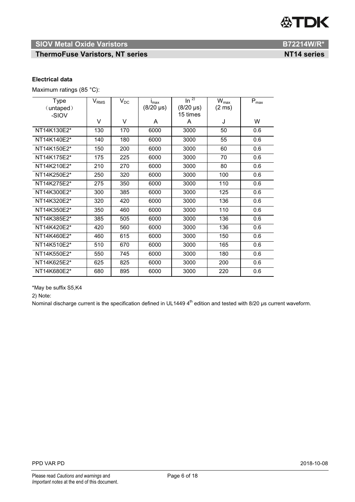# **SIOV Metal Oxide Varistors B72214W/R\***

# **ThermoFuse Varistors, NT series NT14 series NT14 series**

### **Electrical data**

Maximum ratings (85 °C):

| <b>Type</b> | $V_{RMS}$ | $V_{DC}$ | $I_{\text{max}}$ | $\ln^{2}$        | $W_{\text{max}}$ | $\mathsf{P}_{\mathsf{max}}$ |
|-------------|-----------|----------|------------------|------------------|------------------|-----------------------------|
| (untaped)   |           |          | $(8/20 \,\mu s)$ | $(8/20 \,\mu s)$ | $(2 \text{ ms})$ |                             |
| -SIOV       |           |          |                  | 15 times         |                  |                             |
|             | V         | V        | A                | A                | J                | W                           |
| NT14K130E2* | 130       | 170      | 6000             | 3000             | 50               | 0.6                         |
| NT14K140E2* | 140       | 180      | 6000             | 3000             | 55               | 0.6                         |
| NT14K150E2* | 150       | 200      | 6000             | 3000             | 60               | 0.6                         |
| NT14K175E2* | 175       | 225      | 6000             | 3000             | 70               | 0.6                         |
| NT14K210E2* | 210       | 270      | 6000             | 3000             | 80               | 0.6                         |
| NT14K250E2* | 250       | 320      | 6000             | 3000             | 100              | 0.6                         |
| NT14K275E2* | 275       | 350      | 6000             | 3000             | 110              | 0.6                         |
| NT14K300E2* | 300       | 385      | 6000             | 3000             | 125              | 0.6                         |
| NT14K320E2* | 320       | 420      | 6000             | 3000             | 136              | 0.6                         |
| NT14K350E2* | 350       | 460      | 6000             | 3000             | 110              | 0.6                         |
| NT14K385E2* | 385       | 505      | 6000             | 3000             | 136              | 0.6                         |
| NT14K420E2* | 420       | 560      | 6000             | 3000             | 136              | 0.6                         |
| NT14K460E2* | 460       | 615      | 6000             | 3000             | 150              | 0.6                         |
| NT14K510E2* | 510       | 670      | 6000             | 3000             | 165              | 0.6                         |
| NT14K550E2* | 550       | 745      | 6000             | 3000             | 180              | 0.6                         |
| NT14K625E2* | 625       | 825      | 6000             | 3000             | 200              | 0.6                         |
| NT14K680E2* | 680       | 895      | 6000             | 3000             | 220              | 0.6                         |

\*May be suffix S5,K4

2) Note:

Nominal discharge current is the specification defined in UL1449  $4<sup>th</sup>$  edition and tested with 8/20 µs current waveform.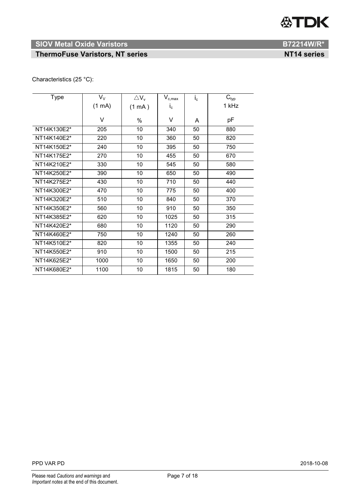# **SIOV Metal Oxide Varistors B72214W/R\***

# **ThermoFuse Varistors, NT series NT14 series NT14 series**

# Characteristics (25 °C):

| <b>Type</b> | $V_V$            | $\triangle$ V <sub>v</sub> | $V_{c,max}$ | $I_c$ | $C_{\text{typ}}$ |
|-------------|------------------|----------------------------|-------------|-------|------------------|
|             | $(1 \text{ mA})$ | $(1 \text{ mA})$           | $i_{\rm c}$ |       | 1 kHz            |
|             | V                |                            | V           |       |                  |
|             |                  | %                          |             | A     | рF               |
| NT14K130E2* | 205              | 10                         | 340         | 50    | 880              |
| NT14K140E2* | 220              | 10                         | 360         | 50    | 820              |
| NT14K150E2* | 240              | 10                         | 395         | 50    | 750              |
| NT14K175E2* | 270              | 10                         | 455         | 50    | 670              |
| NT14K210E2* | 330              | 10                         | 545         | 50    | 580              |
| NT14K250E2* | 390              | 10                         | 650         | 50    | 490              |
| NT14K275E2* | 430              | 10                         | 710         | 50    | 440              |
| NT14K300E2* | 470              | 10                         | 775         | 50    | 400              |
| NT14K320E2* | 510              | 10                         | 840         | 50    | 370              |
| NT14K350E2* | 560              | 10                         | 910         | 50    | 350              |
| NT14K385E2* | 620              | 10                         | 1025        | 50    | 315              |
| NT14K420E2* | 680              | 10                         | 1120        | 50    | 290              |
| NT14K460E2* | 750              | 10                         | 1240        | 50    | 260              |
| NT14K510E2* | 820              | 10                         | 1355        | 50    | 240              |
| NT14K550E2* | 910              | 10                         | 1500        | 50    | 215              |
| NT14K625E2* | 1000             | 10                         | 1650        | 50    | 200              |
| NT14K680E2* | 1100             | 10                         | 1815        | 50    | 180              |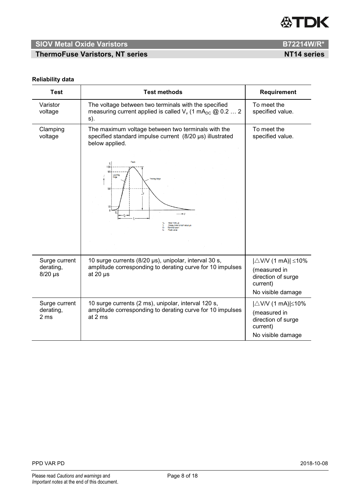

**ThermoFuse Varistors, NT series NT14 series NT14 series** 

#### **Reliability data**

| <b>Test</b>                                   | <b>Test methods</b>                                                                                                                                                                                                                        | Requirement                                                                                                |
|-----------------------------------------------|--------------------------------------------------------------------------------------------------------------------------------------------------------------------------------------------------------------------------------------------|------------------------------------------------------------------------------------------------------------|
| Varistor<br>voltage                           | The voltage between two terminals with the specified<br>measuring current applied is called $V_v$ (1 mA <sub>DC</sub> @ 0.2  2<br>s).                                                                                                      | To meet the<br>specified value.                                                                            |
| Clamping<br>voltage                           | The maximum voltage between two terminals with the<br>specified standard impulse current (8/20 µs) illustrated<br>below applied.<br>Peak<br>$\%$<br>100<br>90<br>Leading<br>Edge<br><b>Trailing Edge</b><br>50<br>Decay time to half value | To meet the<br>specified value.                                                                            |
| Surge current<br>derating,<br>$8/20$ µs       | 10 surge currents (8/20 µs), unipolar, interval 30 s,<br>amplitude corresponding to derating curve for 10 impulses<br>at 20 $\mu$ s                                                                                                        | $ \triangle$ V/V (1 mA)  $\leq$ 10%<br>(measured in<br>direction of surge<br>current)<br>No visible damage |
| Surge current<br>derating,<br>2 <sub>ms</sub> | 10 surge currents (2 ms), unipolar, interval 120 s,<br>amplitude corresponding to derating curve for 10 impulses<br>at 2 ms                                                                                                                | $ \triangle$ V/V (1 mA)  $\leq$ 10%<br>(measured in<br>direction of surge<br>current)<br>No visible damage |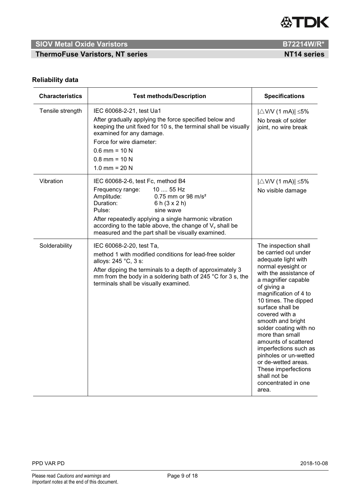

**ThermoFuse Varistors, NT series NT14 series NT14 series** 

# **Reliability data**

| <b>Characteristics</b> | <b>Test methods/Description</b>                                                                                                                                                                                                                                                                                                                             | <b>Specifications</b>                                                                                                                                                                                                                                                                                                                                                                                                                                                                      |
|------------------------|-------------------------------------------------------------------------------------------------------------------------------------------------------------------------------------------------------------------------------------------------------------------------------------------------------------------------------------------------------------|--------------------------------------------------------------------------------------------------------------------------------------------------------------------------------------------------------------------------------------------------------------------------------------------------------------------------------------------------------------------------------------------------------------------------------------------------------------------------------------------|
| Tensile strength       | IEC 60068-2-21, test Ua1<br>After gradually applying the force specified below and<br>keeping the unit fixed for 10 s, the terminal shall be visually<br>examined for any damage.<br>Force for wire diameter:<br>$0.6$ mm = 10 N<br>$0.8$ mm = 10 N<br>1.0 mm = $20 N$                                                                                      | $ \triangle$ V/V (1 mA)  $\leq$ 5%<br>No break of solder<br>joint, no wire break                                                                                                                                                                                                                                                                                                                                                                                                           |
| Vibration              | IEC 60068-2-6, test Fc, method B4<br>10  55 Hz<br>Frequency range:<br>Amplitude:<br>0.75 mm or 98 m/s <sup>2</sup><br>Duration:<br>6 h $(3 \times 2)$ h)<br>Pulse:<br>sine wave<br>After repeatedly applying a single harmonic vibration<br>according to the table above, the change of $V_v$ shall be<br>measured and the part shall be visually examined. | $ \triangle$ V/V (1 mA)  $\leq$ 5%<br>No visible damage                                                                                                                                                                                                                                                                                                                                                                                                                                    |
| Solderability          | IEC 60068-2-20, test Ta,<br>method 1 with modified conditions for lead-free solder<br>alloys: 245 °C, 3 s:<br>After dipping the terminals to a depth of approximately 3<br>mm from the body in a soldering bath of 245 °C for 3 s, the<br>terminals shall be visually examined.                                                                             | The inspection shall<br>be carried out under<br>adequate light with<br>normal eyesight or<br>with the assistance of<br>a magnifier capable<br>of giving a<br>magnification of 4 to<br>10 times. The dipped<br>surface shall be<br>covered with a<br>smooth and bright<br>solder coating with no<br>more than small<br>amounts of scattered<br>imperfections such as<br>pinholes or un-wetted<br>or de-wetted areas.<br>These imperfections<br>shall not be<br>concentrated in one<br>area. |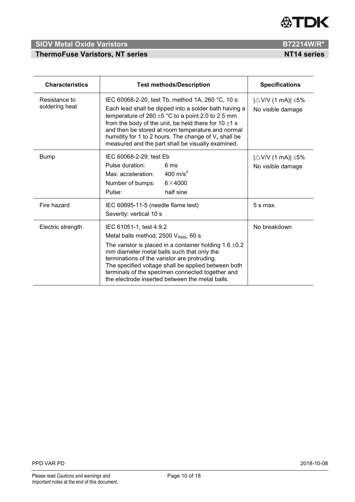

# **ThermoFuse Varistors, NT series NT14 series NT14 series**

| R7221 <i>A\NI\</i> R* |  |
|-----------------------|--|

| <b>Characteristics</b>          | <b>Test methods/Description</b>                                                                                                                                                                                                                                                                                                                                                                        | <b>Specifications</b>                                   |
|---------------------------------|--------------------------------------------------------------------------------------------------------------------------------------------------------------------------------------------------------------------------------------------------------------------------------------------------------------------------------------------------------------------------------------------------------|---------------------------------------------------------|
| Resistance to<br>soldering heat | IEC 60068-2-20, test Tb, method 1A, 260 °C, 10 s:<br>Each lead shall be dipped into a solder bath having a<br>temperature of 260 $\pm$ 5 °C to a point 2.0 to 2.5 mm<br>from the body of the unit, be held there for $10 \pm 1$ s<br>and then be stored at room temperature and normal<br>humidity for 1 to 2 hours. The change of $V_v$ shall be<br>measured and the part shall be visually examined. | $ \triangle$ V/V (1 mA)  $\leq$ 5%<br>No visible damage |
| <b>Bump</b>                     | IEC 60068-2-29, test Eb<br>Pulse duration:<br>6 ms<br>400 m/s <sup>2</sup><br>Max. acceleration:<br>$6\times4000$<br>Number of bumps:<br>half sine<br>Pulse:                                                                                                                                                                                                                                           | $ \triangle$ V/V (1 mA)  $\leq$ 5%<br>No visible damage |
| Fire hazard                     | IEC 60695-11-5 (needle flame test)<br>Severity: vertical 10 s                                                                                                                                                                                                                                                                                                                                          | $5 s$ max.                                              |
| Electric strength               | IEC 61051-1, test 4.9.2<br>Metal balls method, 2500 $V_{RMS}$ , 60 s<br>The varistor is placed in a container holding $1.6 \pm 0.2$<br>mm diameter metal balls such that only the<br>terminations of the varistor are protruding.<br>The specified voltage shall be applied between both<br>terminals of the specimen connected together and<br>the electrode inserted between the metal balls.        | No breakdown                                            |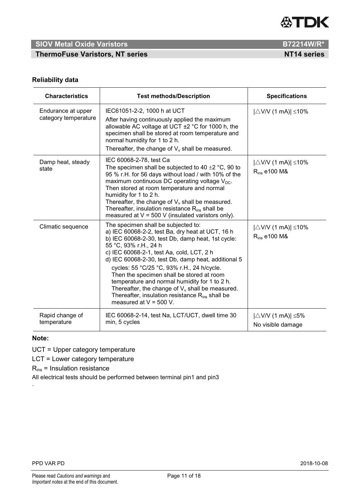

**ThermoFuse Varistors, NT series NT14 series NT14 series** 

## **Reliability data**

| <b>Characteristics</b>                     | <b>Test methods/Description</b>                                                                                                                                                                                                                                                                                                                                                                                                                                                                                                                                        | <b>Specifications</b>                                           |
|--------------------------------------------|------------------------------------------------------------------------------------------------------------------------------------------------------------------------------------------------------------------------------------------------------------------------------------------------------------------------------------------------------------------------------------------------------------------------------------------------------------------------------------------------------------------------------------------------------------------------|-----------------------------------------------------------------|
| Endurance at upper<br>category temperature | IEC61051-2-2, 1000 h at UCT<br>After having continuously applied the maximum<br>allowable AC voltage at UCT $\pm$ 2 °C for 1000 h, the<br>specimen shall be stored at room temperature and<br>normal humidity for 1 to 2 h.<br>Thereafter, the change of $V_{v}$ shall be measured.                                                                                                                                                                                                                                                                                    | $ \triangle$ V/V (1 mA)  $\leq$ 10%                             |
| Damp heat, steady<br>state                 | IEC 60068-2-78, test Ca<br>The specimen shall be subjected to 40 $\pm$ 2 °C, 90 to<br>95 % r.H. for 56 days without load / with 10% of the<br>maximum continuous DC operating voltage V <sub>DC</sub> .<br>Then stored at room temperature and normal<br>humidity for 1 to 2 h.<br>Thereafter, the change of $V_{v}$ shall be measured.<br>Thereafter, insulation resistance $R_{ins}$ shall be<br>measured at $V = 500$ V (insulated varistors only).                                                                                                                 | $ \triangle$ V/V (1 mA)  $\leq$ 10%<br>$R_{ins}$ e100 M&        |
| Climatic sequence                          | The specimen shall be subjected to:<br>a) IEC 60068-2-2, test Ba, dry heat at UCT, 16 h<br>b) IEC 60068-2-30, test Db, damp heat, 1st cycle:<br>55 °C, 93% r.H., 24 h<br>c) IEC 60068-2-1, test Aa, cold, LCT, 2 h<br>d) IEC 60068-2-30, test Db, damp heat, additional 5<br>cycles: 55 °C/25 °C, 93% r.H., 24 h/cycle.<br>Then the specimen shall be stored at room<br>temperature and normal humidity for 1 to 2 h.<br>Thereafter, the change of $V_v$ shall be measured.<br>Thereafter, insulation resistance R <sub>ins</sub> shall be<br>measured at $V = 500$ V. | $ \triangle$ V/V (1 mA)  $\leq$ 10%<br>R <sub>ins</sub> e100 M& |
| Rapid change of<br>temperature             | IEC 60068-2-14, test Na, LCT/UCT, dwell time 30<br>min, 5 cycles                                                                                                                                                                                                                                                                                                                                                                                                                                                                                                       | $ \triangle$ V/V (1 mA)  $\leq$ 5%<br>No visible damage         |

### **Note:**

.

UCT = Upper category temperature

LCT = Lower category temperature

 $R_{ins}$  = Insulation resistance

All electrical tests should be performed between terminal pin1 and pin3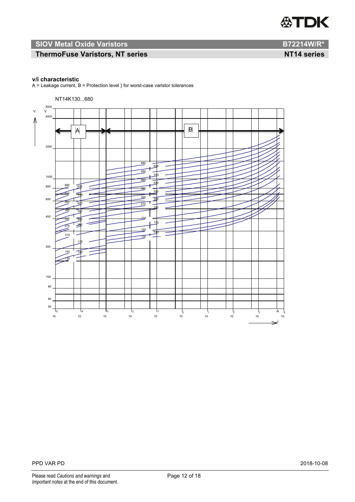# **SIOV Metal Oxide Varistors B72214W/R\***

# **ThermoFuse Varistors, NT series NT14 series NT14 series**

#### **v/i characteristic**

 $A =$  Leakage current,  $B =$  Protection level } for worst-case varistor tolerances

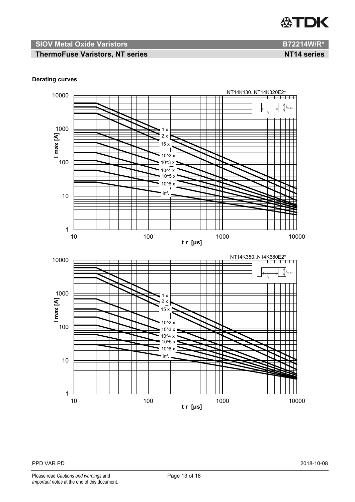

# **ThermoFuse Varistors, NT series NT14 series**

### **Derating curves**

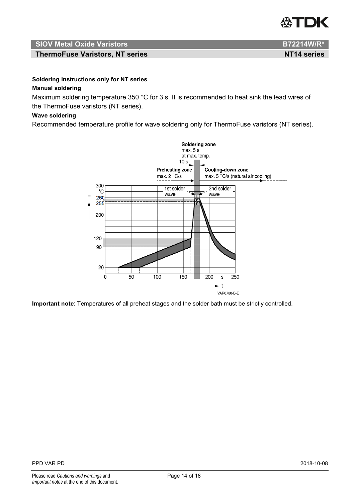

**ThermoFuse Varistors, NT series NT14 series NT14 series** 

# **Soldering instructions only for NT series**

# **Manual soldering**

Maximum soldering temperature 350 °C for 3 s. It is recommended to heat sink the lead wires of the ThermoFuse varistors (NT series).

### **Wave soldering**

Recommended temperature profile for wave soldering only for ThermoFuse varistors (NT series).



**Important note**: Temperatures of all preheat stages and the solder bath must be strictly controlled.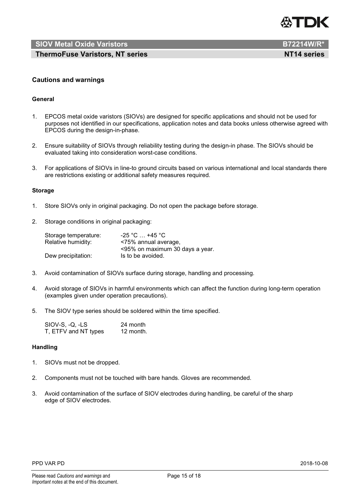

**ThermoFuse Varistors, NT series NT14 series NT14 series** 

#### **Cautions and warnings**

#### **General**

- 1. EPCOS metal oxide varistors (SIOVs) are designed for specific applications and should not be used for purposes not identified in our specifications, application notes and data books unless otherwise agreed with EPCOS during the design-in-phase.
- 2. Ensure suitability of SIOVs through reliability testing during the design-in phase. The SIOVs should be evaluated taking into consideration worst-case conditions.
- 3. For applications of SIOVs in line-to ground circuits based on various international and local standards there are restrictions existing or additional safety measures required.

#### **Storage**

- 1. Store SIOVs only in original packaging. Do not open the package before storage.
- 2. Storage conditions in original packaging:

| Storage temperature: | $-25$ °C $\dots$ +45 °C $\cdot$ |
|----------------------|---------------------------------|
| Relative humidity:   | <75% annual average,            |
|                      | <95% on maximum 30 days a year. |
| Dew precipitation:   | Is to be avoided.               |

- 3. Avoid contamination of SIOVs surface during storage, handling and processing.
- 4. Avoid storage of SIOVs in harmful environments which can affect the function during long-term operation (examples given under operation precautions).
- 5. The SIOV type series should be soldered within the time specified.

| SIOV-S, -Q, -LS      | 24 month  |
|----------------------|-----------|
| T, ETFV and NT types | 12 month. |

#### **Handling**

- 1. SIOVs must not be dropped.
- 2. Components must not be touched with bare hands. Gloves are recommended.
- 3. Avoid contamination of the surface of SIOV electrodes during handling, be careful of the sharp edge of SIOV electrodes.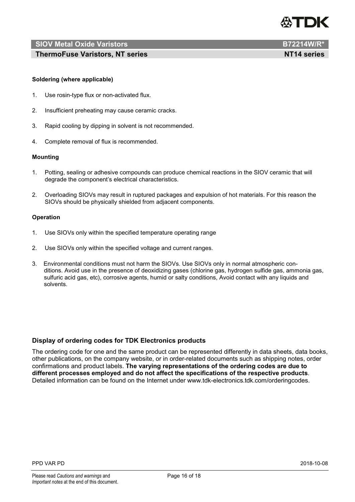

**ThermoFuse Varistors, NT series NT14 series NT14 series** 

#### **Soldering (where applicable)**

- 1. Use rosin-type flux or non-activated flux.
- 2. Insufficient preheating may cause ceramic cracks.
- 3. Rapid cooling by dipping in solvent is not recommended.
- 4. Complete removal of flux is recommended.

#### **Mounting**

- 1. Potting, sealing or adhesive compounds can produce chemical reactions in the SIOV ceramic that will degrade the component's electrical characteristics.
- 2. Overloading SIOVs may result in ruptured packages and expulsion of hot materials. For this reason the SIOVs should be physically shielded from adjacent components.

#### **Operation**

- 1. Use SIOVs only within the specified temperature operating range
- 2. Use SIOVs only within the specified voltage and current ranges.
- 3. Environmental conditions must not harm the SIOVs. Use SIOVs only in normal atmospheric conditions. Avoid use in the presence of deoxidizing gases (chlorine gas, hydrogen sulfide gas, ammonia gas, sulfuric acid gas, etc), corrosive agents, humid or salty conditions, Avoid contact with any liquids and solvents.

#### **Display of ordering codes for TDK Electronics products**

The ordering code for one and the same product can be represented differently in data sheets, data books, other publications, on the company website, or in order-related documents such as shipping notes, order confirmations and product labels. **The varying representations of the ordering codes are due to different processes employed and do not affect the specifications of the respective products**. Detailed information can be found on the Internet under www.tdk-electronics.tdk.com/orderingcodes.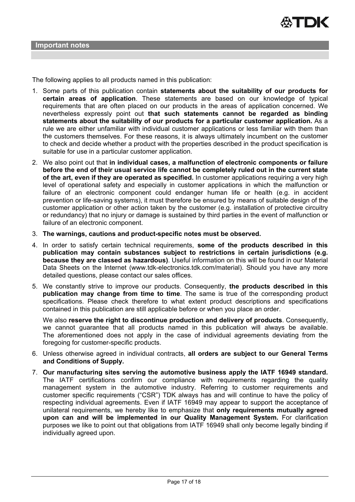The following applies to all products named in this publication:

- 1. Some parts of this publication contain **statements about the suitability of our products for certain areas of application**. These statements are based on our knowledge of typical requirements that are often placed on our products in the areas of application concerned. We nevertheless expressly point out **that such statements cannot be regarded as binding statements about the suitability of our products for a particular customer application.** As a rule we are either unfamiliar with individual customer applications or less familiar with them than the customers themselves. For these reasons, it is always ultimately incumbent on the customer to check and decide whether a product with the properties described in the product specification is suitable for use in a particular customer application.
- 2. We also point out that **in individual cases, a malfunction of electronic components or failure before the end of their usual service life cannot be completely ruled out in the current state of the art, even if they are operated as specified.** In customer applications requiring a very high level of operational safety and especially in customer applications in which the malfunction or failure of an electronic component could endanger human life or health (e.g. in accident prevention or life-saving systems), it must therefore be ensured by means of suitable design of the customer application or other action taken by the customer (e.g. installation of protective circuitry or redundancy) that no injury or damage is sustained by third parties in the event of malfunction or failure of an electronic component.
- 3. **The warnings, cautions and product-specific notes must be observed.**
- 4. In order to satisfy certain technical requirements, **some of the products described in this publication may contain substances subject to restrictions in certain jurisdictions (e.g. because they are classed as hazardous)**. Useful information on this will be found in our Material Data Sheets on the Internet (www.tdk-electronics.tdk.com/material). Should you have any more detailed questions, please contact our sales offices.
- 5. We constantly strive to improve our products. Consequently, **the products described in this publication may change from time to time**. The same is true of the corresponding product specifications. Please check therefore to what extent product descriptions and specifications contained in this publication are still applicable before or when you place an order.

We also **reserve the right to discontinue production and delivery of products**. Consequently, we cannot guarantee that all products named in this publication will always be available. The aforementioned does not apply in the case of individual agreements deviating from the foregoing for customer-specific products.

- 6. Unless otherwise agreed in individual contracts, **all orders are subject to our General Terms and Conditions of Supply.**
- 7. **Our manufacturing sites serving the automotive business apply the IATF 16949 standard.** The IATF certifications confirm our compliance with requirements regarding the quality management system in the automotive industry. Referring to customer requirements and customer specific requirements ("CSR") TDK always has and will continue to have the policy of respecting individual agreements. Even if IATF 16949 may appear to support the acceptance of unilateral requirements, we hereby like to emphasize that **only requirements mutually agreed upon can and will be implemented in our Quality Management System.** For clarification purposes we like to point out that obligations from IATF 16949 shall only become legally binding if individually agreed upon.